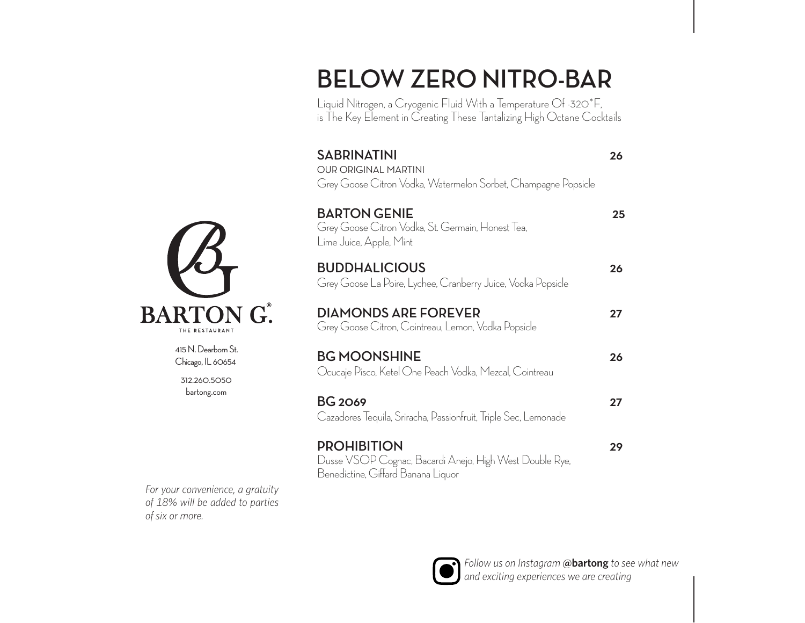### **BELOW ZERO NITRO-BAR**

Liquid Nitrogen, a Cryogenic Fluid With a Temperature Of -320\*F, is The Key Element in Creating These Tantalizing High Octane Cocktails

| <b>SABRINATINI</b><br><b>OUR ORIGINAL MARTINI</b><br>Grey Goose Citron Vodka, Watermelon Sorbet, Champagne Popsicle | 26 |
|---------------------------------------------------------------------------------------------------------------------|----|
| <b>BARTON GENIE</b><br>Grey Goose Citron Vodka, St. Germain, Honest Tea,<br>Lime Juice, Apple, Mint                 | 25 |
| <b>BUDDHALICIOUS</b><br>Grey Goose La Poire, Lychee, Cranberry Juice, Vodka Popsicle                                | 26 |
| <b>DIAMONDS ARE FOREVER</b><br>Grey Goose Citron, Cointreau, Lemon, Vodka Popsicle                                  | 27 |
| <b>BG MOONSHINE</b><br>Ocucaje Pisco, Ketel One Peach Vodka, Mezcal, Cointreau                                      | 26 |
| <b>BG 2069</b><br>Cazadores Tequila, Sriracha, Passionfruit, Triple Sec, Lemonade                                   | 27 |
| <b>PROHIBITION</b><br>Dusse VSOP Cognac, Bacardi Anejo, High West Double Rye,<br>Benedictine, Giffard Banana Liquor | 29 |





415 N. Dearborn St. Chicago, IL 60654

312.260.5050 bartong.com

*For your convenience, a gratuity of 18% will be added to parties of six or more.*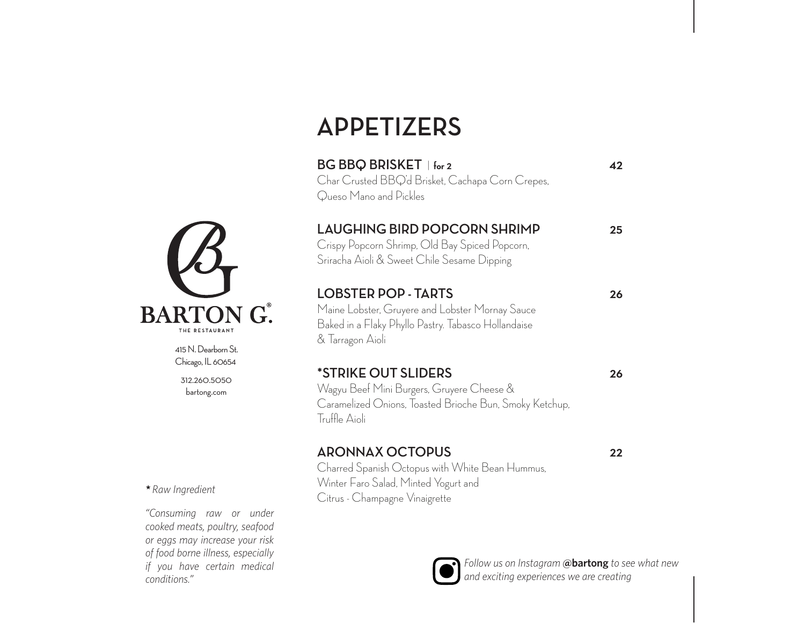# **APPETIZERS**

| BG BBQ BRISKET   for 2<br>Char Crusted BBQ'd Brisket, Cachapa Corn Crepes,<br>Queso Mano and Pickles                                                     | 42 |
|----------------------------------------------------------------------------------------------------------------------------------------------------------|----|
| <b>LAUGHING BIRD POPCORN SHRIMP</b><br>Crispy Popcorn Shrimp, Old Bay Spiced Popcorn,<br>Sriracha Aioli & Sweet Chile Sesame Dipping                     | 25 |
| <b>LOBSTER POP - TARTS</b><br>Maine Lobster, Gruyere and Lobster Mornay Sauce<br>Baked in a Flaky Phyllo Pastry. Tabasco Hollandaise<br>& Tarragon Aioli | 26 |
| *STRIKE OUT SLIDERS<br>Wagyu Beef Mini Burgers, Gruyere Cheese &<br>Caramelized Onions, Toasted Brioche Bun, Smoky Ketchup,<br>Truffle Aioli             | 26 |
| <b>ARONNAX OCTOPUS</b><br>Charred Spanish Octopus with White Bean Hummus,<br>Winter Faro Salad, Minted Yogurt and<br>Citrus - Champagne Vinaigrette      | 22 |



415 N. Dearborn St. Chicago, IL 60654

312.260.5050 bartong.com

*\* Raw Ingredient*

*"Consuming raw or under cooked meats, poultry, seafood or eggs may increase your risk of food borne illness, especially if you have certain medical conditions."*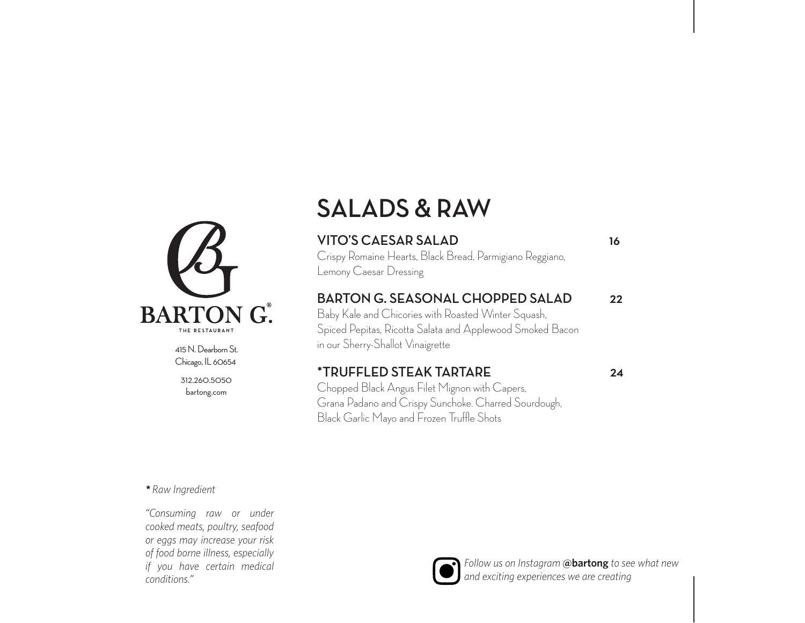

415 N. Dearborn St. Chicago, IL 60654

312.260.5050 bartong.com

*"Consuming raw or under cooked meats, poultry, seafood or eggs may increase your risk of food borne illness, especially if you have certain medical* 

*conditions."*

*\* Raw Ingredient*

### **SALADS & RAW**

#### **VITO'S CAESAR SALAD 16**

Crispy Romaine Hearts, Black Bread, Parmigiano Reggiano, Lemony Caesar Dressing

#### **BARTON G. SEASONAL CHOPPED SALAD 22**

Baby Kale and Chicories with Roasted Winter Squash, Spiced Pepitas, Ricotta Salata and Applewood Smoked Bacon in our Sherry-Shallot Vinaigrette

#### **\*TRUFFLED STEAK TARTARE 24**

Chopped Black Angus Filet Mignon with Capers, Grana Padano and Crispy Sunchoke. Charred Sourdough, Black Garlic Mayo and Frozen Truffle Shots

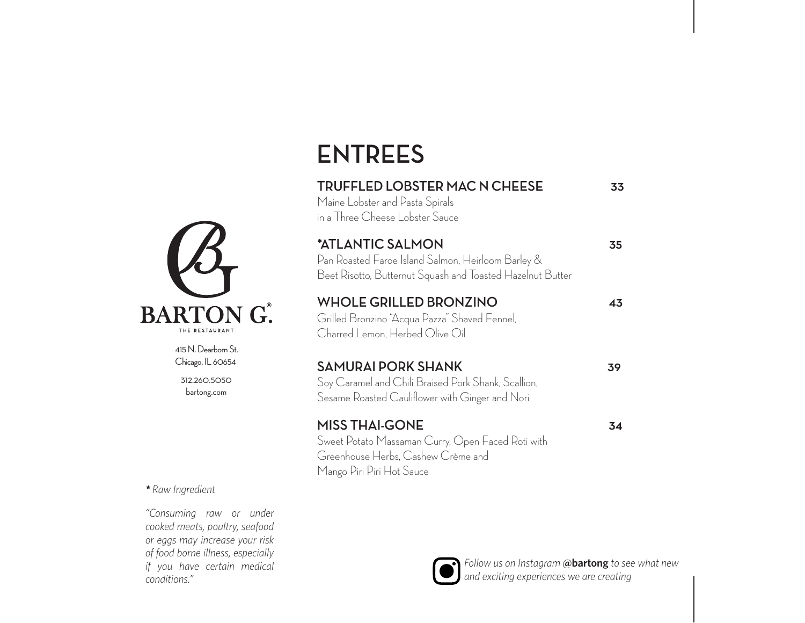# **ENTREES**

| <b>TRUFFLED LOBSTER MAC N CHEESE</b><br>Maine Lobster and Pasta Spirals<br>in a Three Cheese Lobster Sauce                                    | 33 |
|-----------------------------------------------------------------------------------------------------------------------------------------------|----|
| *ATLANTIC SALMON<br>Pan Roasted Faroe Island Salmon, Heirloom Barley &<br>Beet Risotto, Butternut Squash and Toasted Hazelnut Butter          | 35 |
| <b>WHOLE GRILLED BRONZINO</b><br>Grilled Bronzino "Acqua Pazza" Shaved Fennel,<br>Charred Lemon, Herbed Olive Oil                             | 43 |
| <b>SAMURAI PORK SHANK</b><br>Soy Caramel and Chili Braised Pork Shank, Scallion,<br>Sesame Roasted Cauliflower with Ginger and Nori           | 39 |
| <b>MISS THAI-GONE</b><br>Sweet Potato Massaman Curry, Open Faced Roti with<br>Greenhouse Herbs, Cashew Crème and<br>Mango Piri Piri Hot Sauce | 34 |



415 N. Dearborn St. Chicago, IL 60654

312.260.5050 bartong.com

*\* Raw Ingredient*

*"Consuming raw or under cooked meats, poultry, seafood or eggs may increase your risk of food borne illness, especially if you have certain medical conditions."*

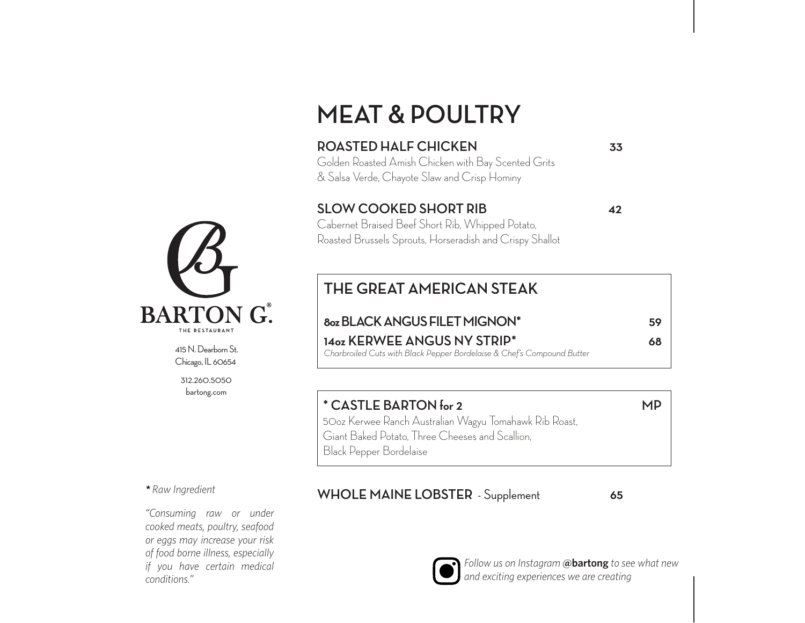### **MEAT & POULTRY**

#### **ROASTED HALF CHICKEN 33**

Golden Roasted Amish Chicken with Bay Scented Grits & Salsa Verde, Chayote Slaw and Crisp Hominy

#### **SLOW COOKED SHORT RIB 42**

Cabernet Braised Beef Short Rib, Whipped Potato, Roasted Brussels Sprouts, Horseradish and Crispy Shallot

### **THE GREAT AMERICAN STEAK**

### **8oz BLACK ANGUS FILET MIGNON\* 59**

*Charbroiled Cuts with Black Pepper Bordelaise & Chef's Compound Butter*

**14oz KERWEE ANGUS NY STRIP\* 68**

#### **\* CASTLE BARTON for 2 MP**

50oz Kerwee Ranch Australian Wagyu Tomahawk Rib Roast, Giant Baked Potato, Three Cheeses and Scallion, Black Pepper Bordelaise

#### **WHOLE MAINE LOBSTER** - Supplement **65**



*Follow us on Instagram* **@bartong** *to see what new and exciting experiences we are creating*



415 N. Dearborn St. Chicago, IL 60654

312.260.5050 bartong.com

*\* Raw Ingredient*

*"Consuming raw or under cooked meats, poultry, seafood or eggs may increase your risk of food borne illness, especially if you have certain medical conditions."*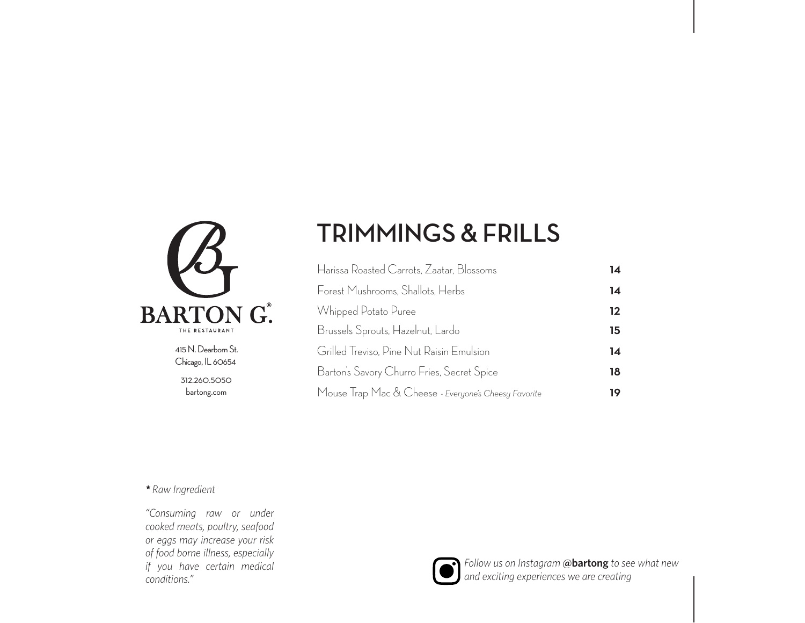

312.260.5050 bartong.com 415 N. Dearborn St. Chicago, IL 60654

### **TRIMMINGS & FRILLS**

| Harissa Roasted Carrots, Zaatar, Blossoms            | 14 |
|------------------------------------------------------|----|
| Forest Mushrooms, Shallots, Herbs                    | 14 |
| Whipped Potato Puree                                 | 12 |
| Brussels Sprouts, Hazelnut, Lardo                    | 15 |
| Grilled Treviso, Pine Nut Raisin Emulsion            | 14 |
| Barton's Savory Churro Fries, Secret Spice           | 18 |
| Mouse Trap Mac & Cheese - Everyone's Cheesy Favorite | 19 |

*\* Raw Ingredient*

*"Consuming raw or under cooked meats, poultry, seafood or eggs may increase your risk of food borne illness, especially if you have certain medical conditions."*